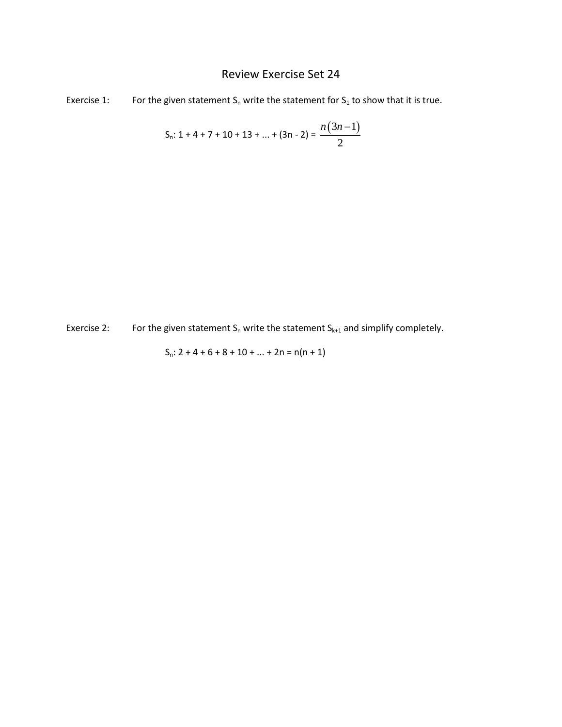## Review Exercise Set 24

Exercise 1: For the given statement  $S_n$  write the statement for  $S_1$  to show that it is true.

$$
S_n: 1 + 4 + 7 + 10 + 13 + \dots + (3n - 2) = \frac{n(3n - 1)}{2}
$$

Exercise 2: For the given statement  $S_n$  write the statement  $S_{k+1}$  and simplify completely.

$$
S_n: 2 + 4 + 6 + 8 + 10 + \dots + 2n = n(n + 1)
$$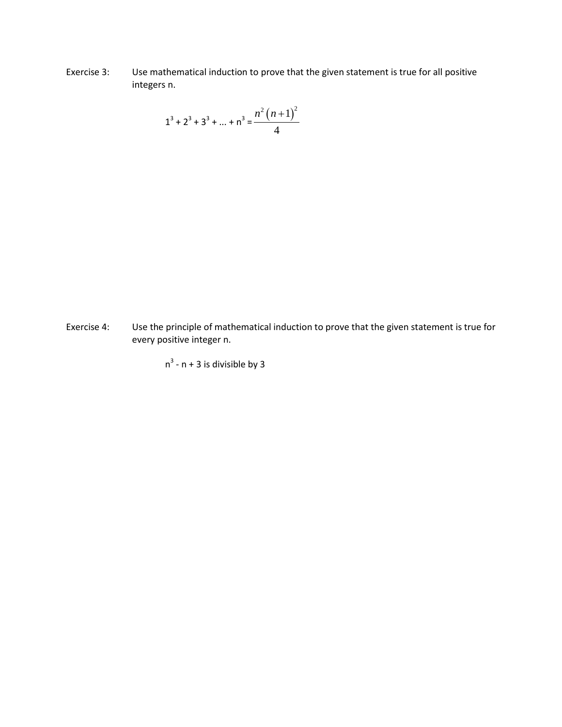Exercise 3: Use mathematical induction to prove that the given statement is true for all positive integers n.

$$
1^3 + 2^3 + 3^3 + \dots + n^3 = \frac{n^2 (n+1)^2}{4}
$$

Exercise 4: Use the principle of mathematical induction to prove that the given statement is true for every positive integer n.

 $n^3$  - n + 3 is divisible by 3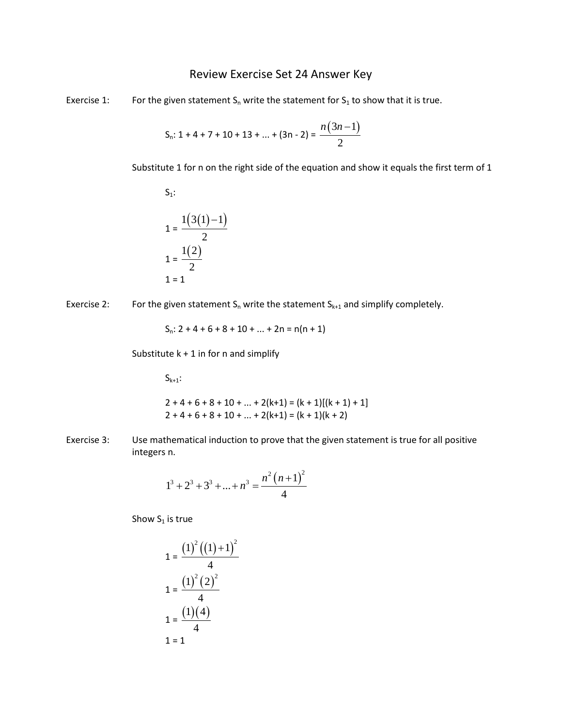## Review Exercise Set 24 Answer Key

Exercise 1: For the given statement  $S_n$  write the statement for  $S_1$  to show that it is true.

$$
S_n: 1 + 4 + 7 + 10 + 13 + \dots + (3n - 2) = \frac{n(3n - 1)}{2}
$$

Substitute 1 for n on the right side of the equation and show it equals the first term of 1

$$
S_1:
$$
\n
$$
1 = \frac{1(3(1) - 1)}{2}
$$
\n
$$
1 = \frac{1(2)}{2}
$$
\n
$$
1 = 1
$$

Exercise 2: For the given statement  $S_n$  write the statement  $S_{k+1}$  and simplify completely.

$$
S_n: 2 + 4 + 6 + 8 + 10 + \dots + 2n = n(n + 1)
$$

Substitute  $k + 1$  in for n and simplify

 $S_{k+1}$ :

$$
2+4+6+8+10+...+2(k+1) = (k+1)[(k+1)+1]
$$
  
2+4+6+8+10+...+2(k+1) = (k+1)(k+2)

Exercise 3: Use mathematical induction to prove that the given statement is true for all positive integers n.

$$
1^3 + 2^3 + 3^3 + \dots + n^3 = \frac{n^2 (n+1)^2}{4}
$$

Show  $S_1$  is true

$$
1 = \frac{(1)^{2} ((1) + 1)^{2}}{4}
$$

$$
1 = \frac{(1)^{2} (2)^{2}}{4}
$$

$$
1 = \frac{(1)(4)}{4}
$$

$$
1 = 1
$$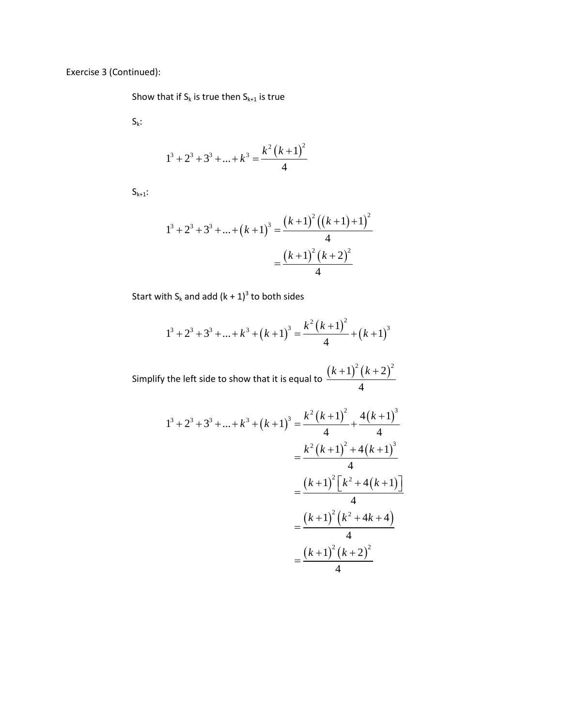Exercise 3 (Continued):

Show that if  $S_k$  is true then  $S_{k+1}$  is true

 $S_k$ :

$$
1^3 + 2^3 + 3^3 + \dots + k^3 = \frac{k^2 (k+1)^2}{4}
$$

 $S_{k+1}$ :

$$
1^{3} + 2^{3} + 3^{3} + \dots + (k+1)^{3} = \frac{(k+1)^{2} ((k+1)+1)^{2}}{4}
$$

$$
= \frac{(k+1)^{2} (k+2)^{2}}{4}
$$

Start with  $S_k$  and add  $(k + 1)^3$  to both sides

$$
1^3 + 2^3 + 3^3 + \dots + k^3 + (k+1)^3 = \frac{k^2 (k+1)^2}{4} + (k+1)^3
$$

Simplify the left side to show that it is equal to  $\frac{(k+1)^2(k+2)^2}{2}$ 4  $(k+1)^{2} (k+$ 

$$
1^{3} + 2^{3} + 3^{3} + ... + k^{3} + (k+1)^{3} = \frac{k^{2} (k+1)^{2}}{4} + \frac{4(k+1)^{3}}{4}
$$

$$
= \frac{k^{2} (k+1)^{2} + 4(k+1)^{3}}{4}
$$

$$
= \frac{(k+1)^{2} [k^{2} + 4(k+1)]}{4}
$$

$$
= \frac{(k+1)^{2} (k^{2} + 4k + 4)}{4}
$$

$$
= \frac{(k+1)^{2} (k+2)^{2}}{4}
$$